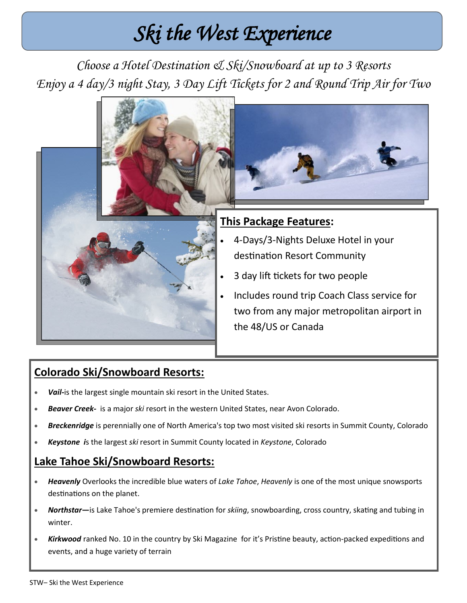# *Ski the West Experience*

*Choose a Hotel Destination & Ski/Snowboard at up to 3 Resorts Enjoy a 4 day/3 night Stay, 3 Day Lift Tickets for 2 and Round Trip Air for Two*



## **Colorado Ski/Snowboard Resorts:**

- *Vail-*is the largest single mountain ski resort in the United States.
- *Beaver Creek-* is a major *ski* resort in the western United States, near Avon Colorado.
- *Breckenridge* is perennially one of North America's top two most visited ski resorts in Summit County, Colorado
- *Keystone i*s the largest *ski* resort in Summit County located in *Keystone*, Colorado

### **Lake Tahoe Ski/Snowboard Resorts:**

- *Heavenly* Overlooks the incredible blue waters of *Lake Tahoe*, *Heavenly* is one of the most unique snowsports destinations on the planet.
- *Northstar—*is Lake Tahoe's premiere destination for *skiing*, snowboarding, cross country, skating and tubing in winter.
- *Kirkwood* ranked No. 10 in the country by Ski Magazine for it's Pristine beauty, action-packed expeditions and events, and a huge variety of terrain